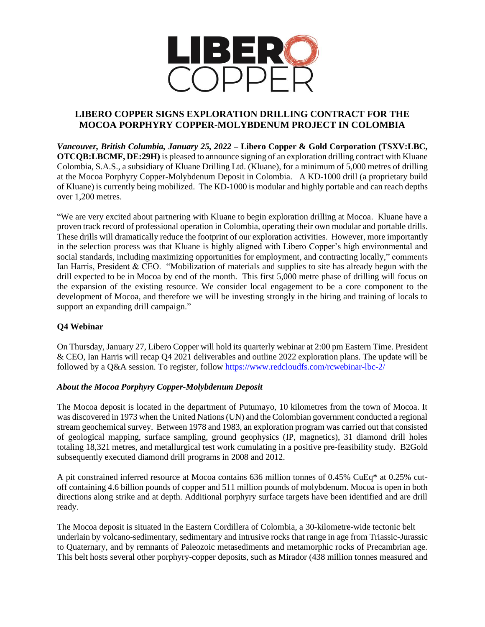

# **LIBERO COPPER SIGNS EXPLORATION DRILLING CONTRACT FOR THE MOCOA PORPHYRY COPPER-MOLYBDENUM PROJECT IN COLOMBIA**

*Vancouver, British Columbia, January 25, 2022* **– Libero Copper & Gold Corporation (TSXV:LBC, OTCQB:LBCMF, DE:29H)** is pleased to announce signing of an exploration drilling contract with Kluane Colombia, S.A.S., a subsidiary of Kluane Drilling Ltd. (Kluane), for a minimum of 5,000 metres of drilling at the Mocoa Porphyry Copper-Molybdenum Deposit in Colombia. A KD-1000 drill (a proprietary build of Kluane) is currently being mobilized. The KD-1000 is modular and highly portable and can reach depths over 1,200 metres.

"We are very excited about partnering with Kluane to begin exploration drilling at Mocoa. Kluane have a proven track record of professional operation in Colombia, operating their own modular and portable drills. These drills will dramatically reduce the footprint of our exploration activities. However, more importantly in the selection process was that Kluane is highly aligned with Libero Copper's high environmental and social standards, including maximizing opportunities for employment, and contracting locally," comments Ian Harris, President & CEO. "Mobilization of materials and supplies to site has already begun with the drill expected to be in Mocoa by end of the month. This first 5,000 metre phase of drilling will focus on the expansion of the existing resource. We consider local engagement to be a core component to the development of Mocoa, and therefore we will be investing strongly in the hiring and training of locals to support an expanding drill campaign."

## **Q4 Webinar**

On Thursday, January 27, Libero Copper will hold its quarterly webinar at 2:00 pm Eastern Time. President & CEO, Ian Harris will recap Q4 2021 deliverables and outline 2022 exploration plans. The update will be followed by a Q&A session. To register, follow <https://www.redcloudfs.com/rcwebinar-lbc-2/>

## *About the Mocoa Porphyry Copper-Molybdenum Deposit*

The Mocoa deposit is located in the department of Putumayo, 10 kilometres from the town of Mocoa. It was discovered in 1973 when the United Nations (UN) and the Colombian government conducted a regional stream geochemical survey. Between 1978 and 1983, an exploration program was carried out that consisted of geological mapping, surface sampling, ground geophysics (IP, magnetics), 31 diamond drill holes totaling 18,321 metres, and metallurgical test work cumulating in a positive pre-feasibility study. B2Gold subsequently executed diamond drill programs in 2008 and 2012.

A pit constrained inferred resource at Mocoa contains 636 million tonnes of 0.45% CuEq\* at 0.25% cutoff containing 4.6 billion pounds of copper and 511 million pounds of molybdenum. Mocoa is open in both directions along strike and at depth. Additional porphyry surface targets have been identified and are drill ready.

The Mocoa deposit is situated in the Eastern Cordillera of Colombia, a 30-kilometre-wide tectonic belt underlain by volcano-sedimentary, sedimentary and intrusive rocks that range in age from Triassic-Jurassic to Quaternary, and by remnants of Paleozoic metasediments and metamorphic rocks of Precambrian age. This belt hosts several other porphyry-copper deposits, such as Mirador (438 million tonnes measured and